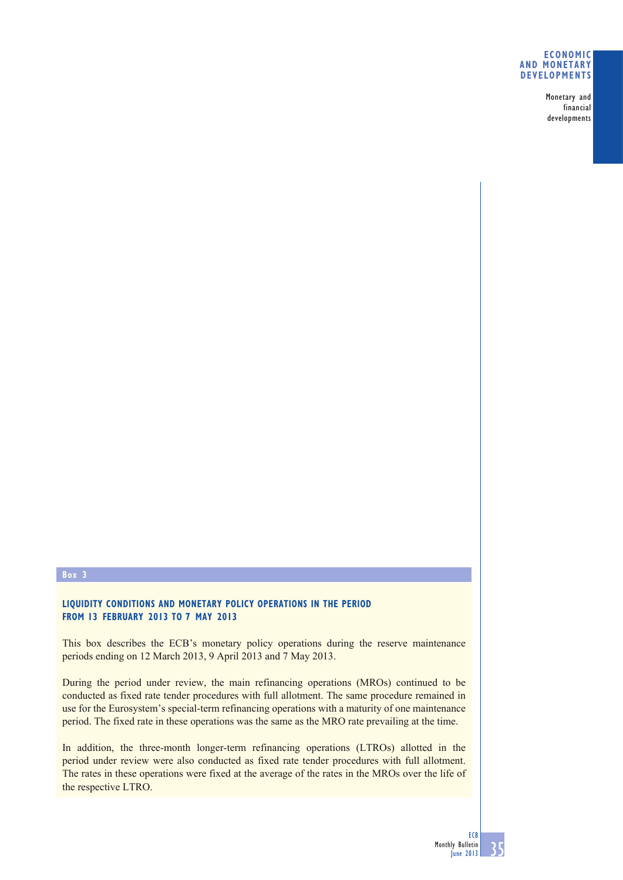#### **ECONOMIC AND MONETARY DEVELOPMENTS**

Monetary and financial developments

## **Box 3**

# **LIQUIDITY CONDITIONS AND MONETARY POLICY OPERATIONS IN THE PERIOD FROM 13 FEBRUARY 2013 TO 7 MAY 2013**

This box describes the ECB's monetary policy operations during the reserve maintenance periods ending on 12 March 2013, 9 April 2013 and 7 May 2013.

During the period under review, the main refinancing operations (MROs) continued to be conducted as fixed rate tender procedures with full allotment. The same procedure remained in use for the Eurosystem's special-term refinancing operations with a maturity of one maintenance period. The fixed rate in these operations was the same as the MRO rate prevailing at the time.

In addition, the three-month longer-term refinancing operations (LTROs) allotted in the period under review were also conducted as fixed rate tender procedures with full allotment. The rates in these operations were fixed at the average of the rates in the MROs over the life of the respective LTRO.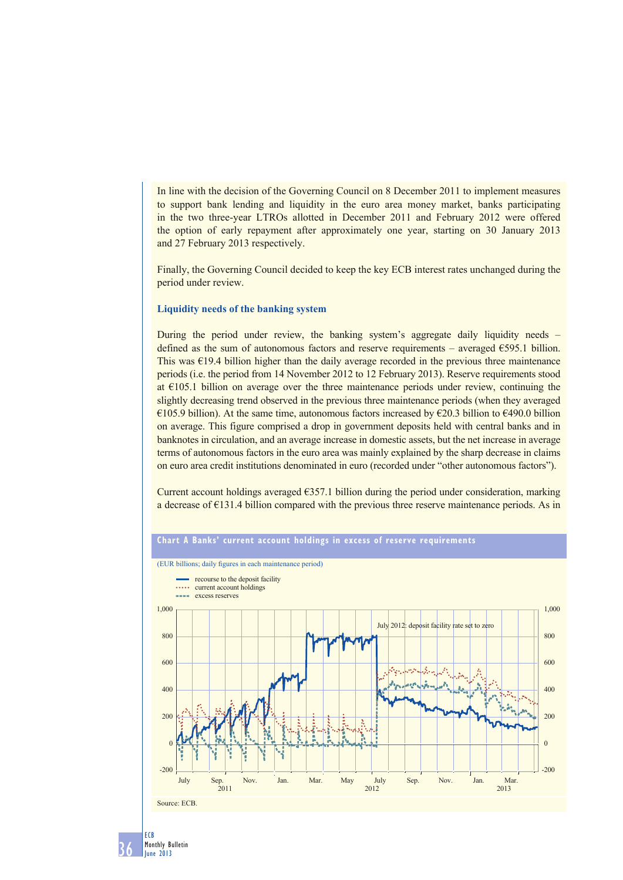In line with the decision of the Governing Council on 8 December 2011 to implement measures to support bank lending and liquidity in the euro area money market, banks participating in the two three-year LTROs allotted in December 2011 and February 2012 were offered the option of early repayment after approximately one year, starting on 30 January 2013 and 27 February 2013 respectively.

Finally, the Governing Council decided to keep the key ECB interest rates unchanged during the period under review.

## **Liquidity needs of the banking system**

During the period under review, the banking system's aggregate daily liquidity needs – defined as the sum of autonomous factors and reserve requirements – averaged  $E$ 595.1 billion. This was  $\epsilon$ 19.4 billion higher than the daily average recorded in the previous three maintenance periods (i.e. the period from 14 November 2012 to 12 February 2013). Reserve requirements stood at  $\epsilon$ 105.1 billion on average over the three maintenance periods under review, continuing the slightly decreasing trend observed in the previous three maintenance periods (when they averaged €105.9 billion). At the same time, autonomous factors increased by €20.3 billion to €490.0 billion on average. This figure comprised a drop in government deposits held with central banks and in banknotes in circulation, and an average increase in domestic assets, but the net increase in average terms of autonomous factors in the euro area was mainly explained by the sharp decrease in claims on euro area credit institutions denominated in euro (recorded under "other autonomous factors").

Current account holdings averaged  $\epsilon$ 357.1 billion during the period under consideration, marking a decrease of  $E131.4$  billion compared with the previous three reserve maintenance periods. As in



36 ECB Monthly Bulletin June 2013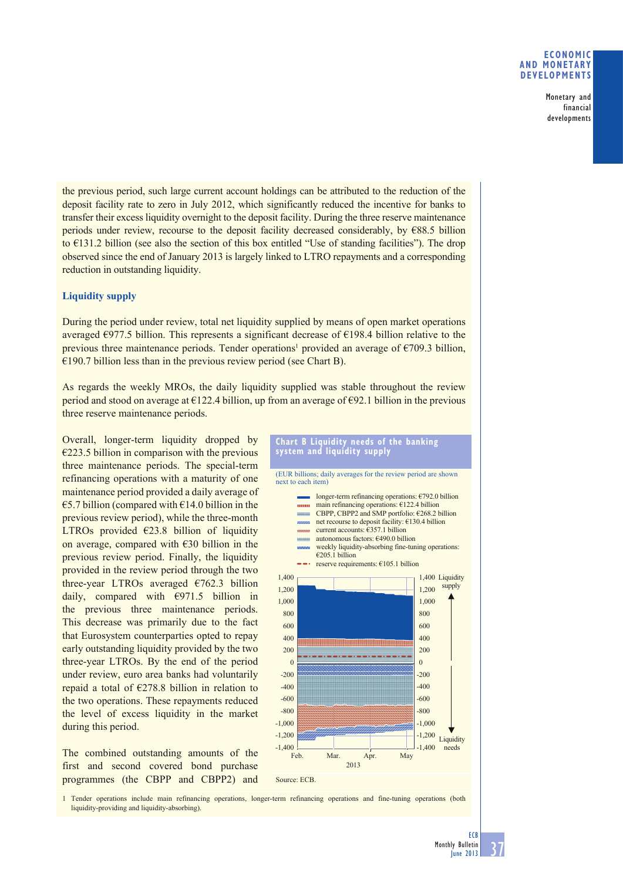## **ECONOMIC AND MONETARY DEVELOPMENTS**

Monetary and financial developments

the previous period, such large current account holdings can be attributed to the reduction of the deposit facility rate to zero in July 2012, which significantly reduced the incentive for banks to transfer their excess liquidity overnight to the deposit facility. During the three reserve maintenance periods under review, recourse to the deposit facility decreased considerably, by  $\epsilon$ 88.5 billion to €131.2 billion (see also the section of this box entitled "Use of standing facilities"). The drop observed since the end of January 2013 is largely linked to LTRO repayments and a corresponding reduction in outstanding liquidity.

# **Liquidity supply**

During the period under review, total net liquidity supplied by means of open market operations averaged  $\epsilon$ 977.5 billion. This represents a significant decrease of  $\epsilon$ 198.4 billion relative to the previous three maintenance periods. Tender operations<sup>1</sup> provided an average of  $\epsilon$ 709.3 billion,  $\epsilon$ 190.7 billion less than in the previous review period (see Chart B).

As regards the weekly MROs, the daily liquidity supplied was stable throughout the review period and stood on average at  $E122.4$  billion, up from an average of  $E92.1$  billion in the previous three reserve maintenance periods.

Overall, longer-term liquidity dropped by  $\epsilon$ 223.5 billion in comparison with the previous three maintenance periods. The special-term refinancing operations with a maturity of one maintenance period provided a daily average of  $\epsilon$ 5.7 billion (compared with  $\epsilon$ 14.0 billion in the previous review period), while the three-month LTROs provided  $\epsilon$ 23.8 billion of liquidity on average, compared with  $\epsilon$ 30 billion in the previous review period. Finally, the liquidity provided in the review period through the two three-year LTROs averaged  $\epsilon$ 762.3 billion daily, compared with €971.5 billion in the previous three maintenance periods. This decrease was primarily due to the fact that Eurosystem counterparties opted to repay early outstanding liquidity provided by the two three-year LTROs. By the end of the period under review, euro area banks had voluntarily repaid a total of €278.8 billion in relation to the two operations. These repayments reduced the level of excess liquidity in the market during this period.

The combined outstanding amounts of the first and second covered bond purchase programmes (the CBPP and CBPP2) and





1 Tender operations include main refinancing operations, longer-term refinancing operations and fine-tuning operations (both liquidity-providing and liquidity-absorbing).